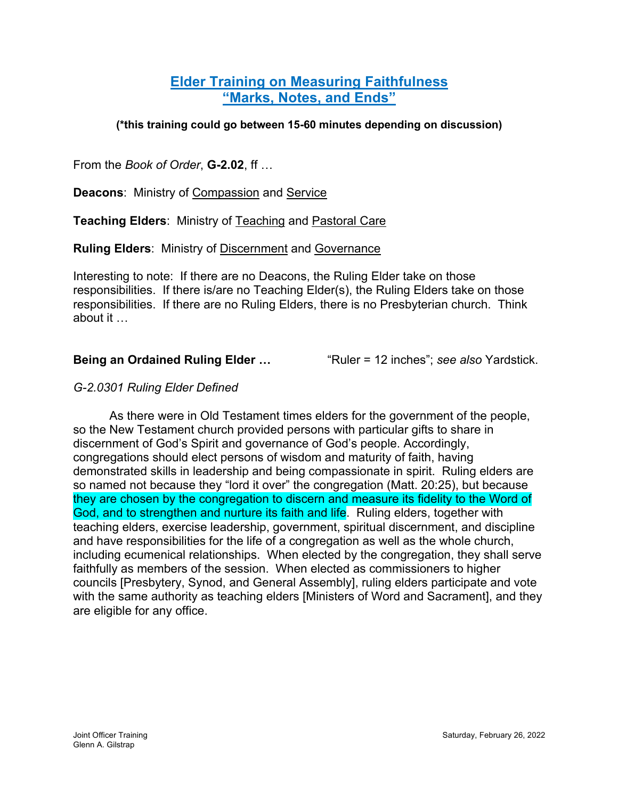# **Elder Training on Measuring Faithfulness "Marks, Notes, and Ends"**

### **(\*this training could go between 15-60 minutes depending on discussion)**

From the *Book of Order*, **G-2.02**, ff …

**Deacons**: Ministry of Compassion and Service

**Teaching Elders**: Ministry of Teaching and Pastoral Care

**Ruling Elders**: Ministry of Discernment and Governance

Interesting to note: If there are no Deacons, the Ruling Elder take on those responsibilities. If there is/are no Teaching Elder(s), the Ruling Elders take on those responsibilities. If there are no Ruling Elders, there is no Presbyterian church. Think about it …

**Being an Ordained Ruling Elder …** "Ruler = 12 inches"; *see also* Yardstick.

## *G-2.0301 Ruling Elder Defined*

As there were in Old Testament times elders for the government of the people, so the New Testament church provided persons with particular gifts to share in discernment of God's Spirit and governance of God's people. Accordingly, congregations should elect persons of wisdom and maturity of faith, having demonstrated skills in leadership and being compassionate in spirit. Ruling elders are so named not because they "lord it over" the congregation (Matt. 20:25), but because they are chosen by the congregation to discern and measure its fidelity to the Word of God, and to strengthen and nurture its faith and life. Ruling elders, together with teaching elders, exercise leadership, government, spiritual discernment, and discipline and have responsibilities for the life of a congregation as well as the whole church, including ecumenical relationships. When elected by the congregation, they shall serve faithfully as members of the session. When elected as commissioners to higher councils [Presbytery, Synod, and General Assembly], ruling elders participate and vote with the same authority as teaching elders [Ministers of Word and Sacrament], and they are eligible for any office.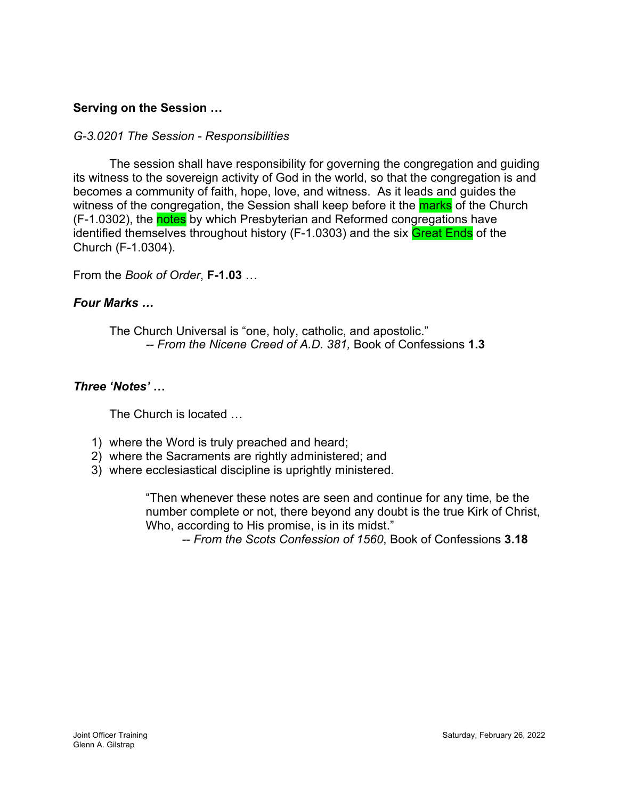# **Serving on the Session …**

#### *G-3.0201 The Session - Responsibilities*

The session shall have responsibility for governing the congregation and guiding its witness to the sovereign activity of God in the world, so that the congregation is and becomes a community of faith, hope, love, and witness. As it leads and guides the witness of the congregation, the Session shall keep before it the **marks** of the Church (F-1.0302), the notes by which Presbyterian and Reformed congregations have identified themselves throughout history (F-1.0303) and the six Great Ends of the Church (F-1.0304).

From the *Book of Order*, **F-1.03** …

#### *Four Marks …*

The Church Universal is "one, holy, catholic, and apostolic." *-- From the Nicene Creed of A.D. 381,* Book of Confessions **1.3**

#### *Three 'Notes'* **…**

The Church is located …

- 1) where the Word is truly preached and heard;
- 2) where the Sacraments are rightly administered; and
- 3) where ecclesiastical discipline is uprightly ministered.

"Then whenever these notes are seen and continue for any time, be the number complete or not, there beyond any doubt is the true Kirk of Christ, Who, according to His promise, is in its midst."

-- *From the Scots Confession of 1560*, Book of Confessions **3.18**